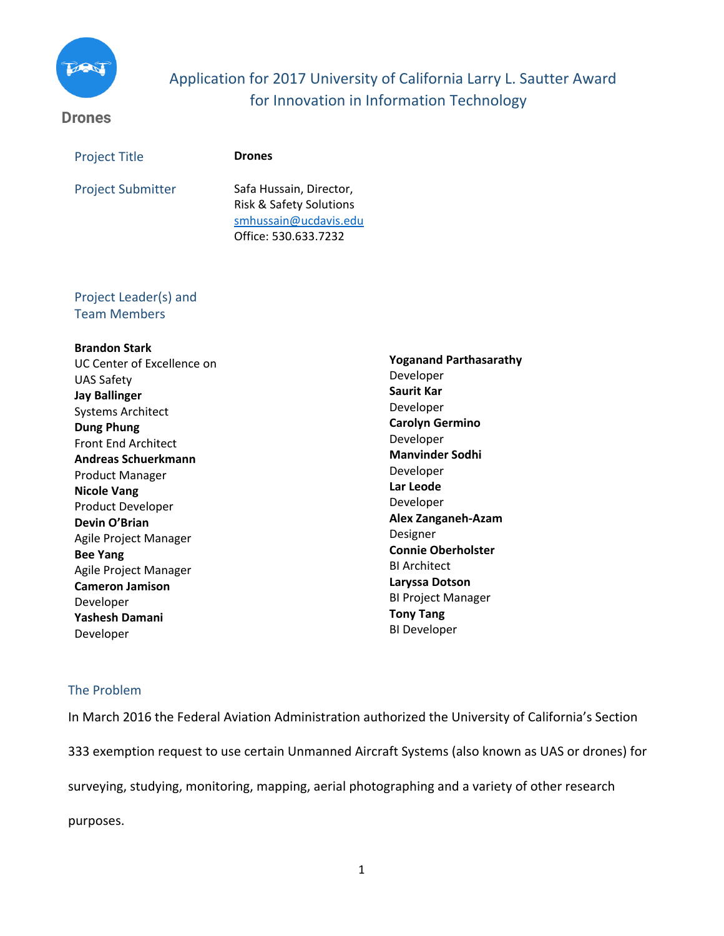

# Application for 2017 University of California Larry L. Sautter Award for Innovation in Information Technology

## **Drones**

| <b>Project Title</b>     | <b>Drones</b>                                                                          |
|--------------------------|----------------------------------------------------------------------------------------|
| <b>Project Submitter</b> | Safa Hussain, Director,<br><b>Risk &amp; Safety Solutions</b><br>smhussain@ucdavis.edu |
|                          | Office: 530.633.7232                                                                   |

# Project Leader(s) and Team Members

## **Brandon Stark**

UC Center of Excellence on UAS Safety **Jay Ballinger** Systems Architect **Dung Phung** Front End Architect **Andreas Schuerkmann** Product Manager **Nicole Vang** Product Developer **Devin O'Brian** Agile Project Manager **Bee Yang** Agile Project Manager **Cameron Jamison** Developer **Yashesh Damani**  Developer

**Yoganand Parthasarathy** Developer **Saurit Kar** Developer **Carolyn Germino** Developer **Manvinder Sodhi**  Developer **Lar Leode** Developer **Alex Zanganeh-Azam** Designer **Connie Oberholster** BI Architect **Laryssa Dotson** BI Project Manager **Tony Tang** BI Developer

## The Problem

In March 2016 the Federal Aviation Administration authorized the University of California's Section 333 exemption request to use certain Unmanned Aircraft Systems (also known as UAS or drones) for

surveying, studying, monitoring, mapping, aerial photographing and a variety of other research

purposes.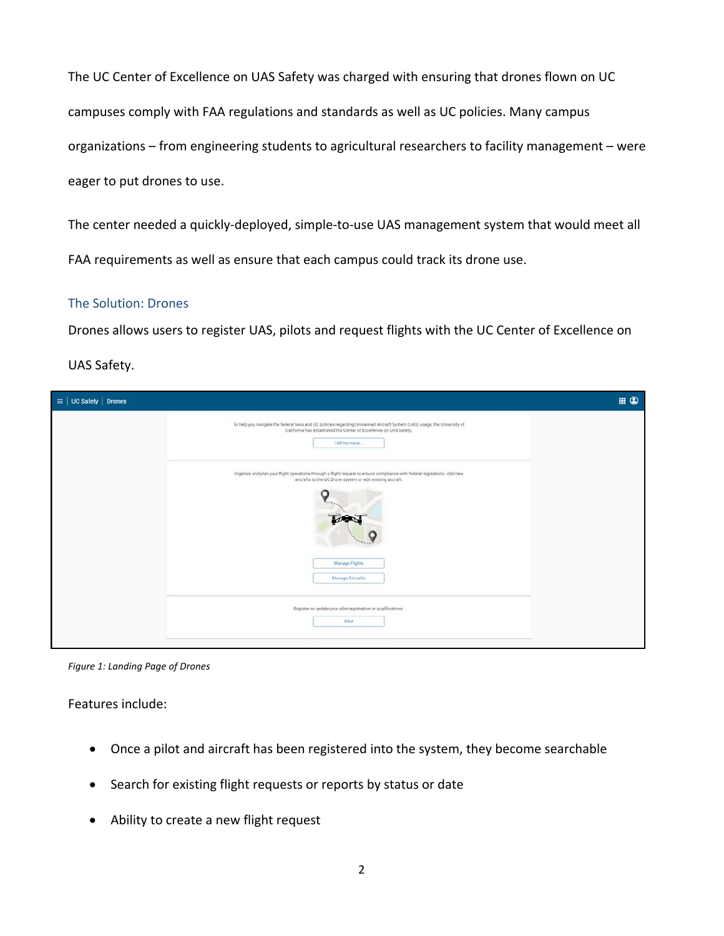The UC Center of Excellence on UAS Safety was charged with ensuring that drones flown on UC campuses comply with FAA regulations and standards as well as UC policies. Many campus organizations – from engineering students to agricultural researchers to facility management – were eager to put drones to use.

The center needed a quickly-deployed, simple-to-use UAS management system that would meet all FAA requirements as well as ensure that each campus could track its drone use.

#### The Solution: Drones

Drones allows users to register UAS, pilots and request flights with the UC Center of Excellence on

UAS Safety.

| $\equiv$   UC Safety   Drones |                                                                                                                                                                                                                               | $\blacksquare$ $\odot$ |
|-------------------------------|-------------------------------------------------------------------------------------------------------------------------------------------------------------------------------------------------------------------------------|------------------------|
|                               | To help you navigate the federal laws and UC policies regarding Unmarned Aircraft System (UAS) usage, the University of<br>California has established the Center of Excellence on UAS Safety.<br>Tell me more.                |                        |
|                               | Organize and plan your flight operations through a flight request to ensure compliance with federal regulations. Add new<br>aircrafts to the UC Drone system or edit existing aircraft.<br>Manage Flights<br>Manage Aircrafts |                        |
|                               | Register or update your pilot registration or qualifications.<br>Pilot                                                                                                                                                        |                        |

*Figure 1: Landing Page of Drones*

Features include:

- Once a pilot and aircraft has been registered into the system, they become searchable
- Search for existing flight requests or reports by status or date
- Ability to create a new flight request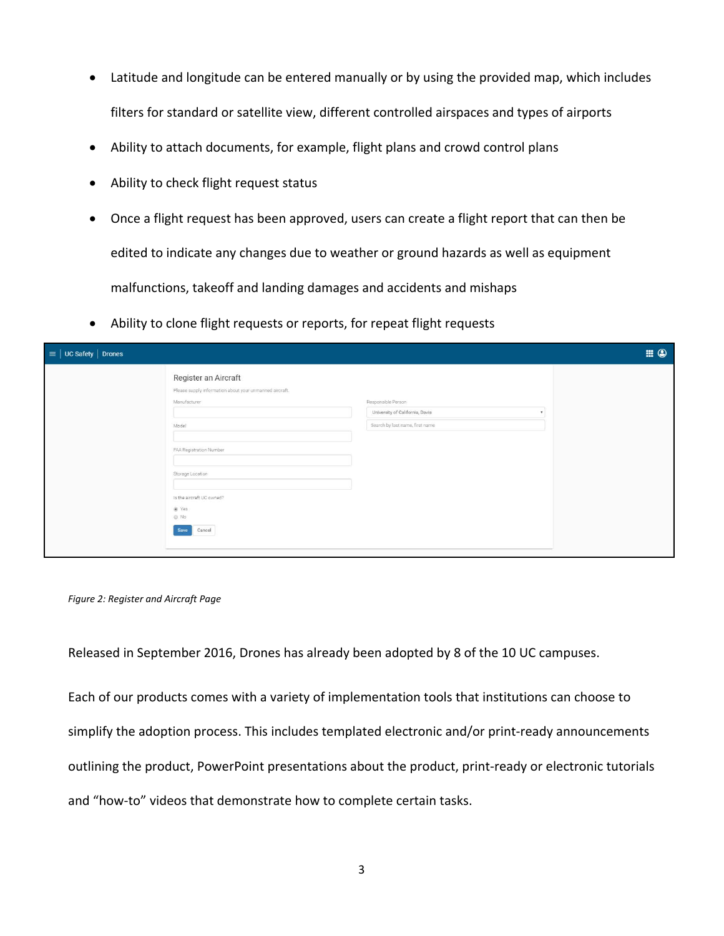- Latitude and longitude can be entered manually or by using the provided map, which includes filters for standard or satellite view, different controlled airspaces and types of airports
- Ability to attach documents, for example, flight plans and crowd control plans
- Ability to check flight request status
- Once a flight request has been approved, users can create a flight report that can then be edited to indicate any changes due to weather or ground hazards as well as equipment malfunctions, takeoff and landing damages and accidents and mishaps
- Ability to clone flight requests or reports, for repeat flight requests

| $\equiv$   UC Safety   Drones |                                                                                                                                                                                                                         |                                                                                          | $\blacksquare$ $\odot$ |
|-------------------------------|-------------------------------------------------------------------------------------------------------------------------------------------------------------------------------------------------------------------------|------------------------------------------------------------------------------------------|------------------------|
|                               | Register an Aircraft<br>Please supply information about your unmanned aircraft.<br>Manufacturer<br>Model<br>FAA Registration Number<br>Storage Location<br>Is the aircraft UC owned?<br>@ Yes<br>C No<br>Cancel<br>Save | Responsible Person<br>University of California, Davis<br>Search by last name, first name |                        |

*Figure 2: Register and Aircraft Page*

Released in September 2016, Drones has already been adopted by 8 of the 10 UC campuses.

Each of our products comes with a variety of implementation tools that institutions can choose to simplify the adoption process. This includes templated electronic and/or print-ready announcements outlining the product, PowerPoint presentations about the product, print-ready or electronic tutorials and "how-to" videos that demonstrate how to complete certain tasks.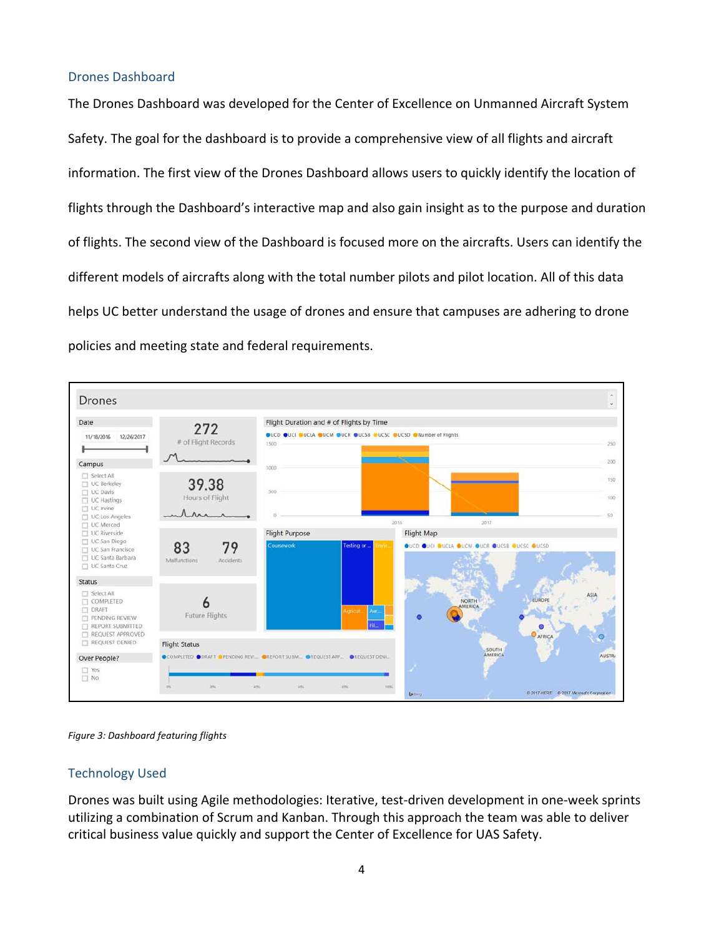#### Drones Dashboard

The Drones Dashboard was developed for the Center of Excellence on Unmanned Aircraft System Safety. The goal for the dashboard is to provide a comprehensive view of all flights and aircraft information. The first view of the Drones Dashboard allows users to quickly identify the location of flights through the Dashboard's interactive map and also gain insight as to the purpose and duration of flights. The second view of the Dashboard is focused more on the aircrafts. Users can identify the different models of aircrafts along with the total number pilots and pilot location. All of this data helps UC better understand the usage of drones and ensure that campuses are adhering to drone policies and meeting state and federal requirements.



*Figure 3: Dashboard featuring flights*

## Technology Used

Drones was built using Agile methodologies: Iterative, test-driven development in one-week sprints utilizing a combination of Scrum and Kanban. Through this approach the team was able to deliver critical business value quickly and support the Center of Excellence for UAS Safety.